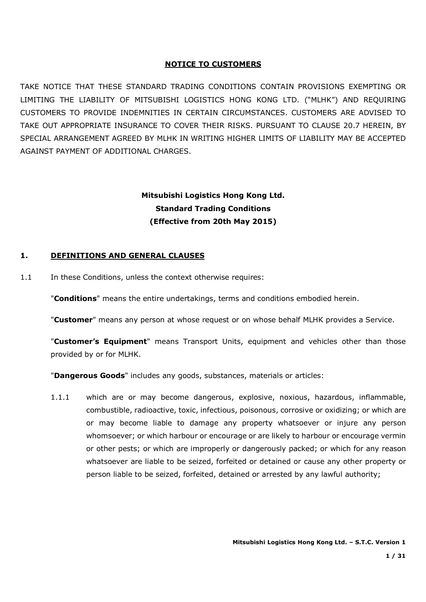### **NOTICE TO CUSTOMERS**

TAKE NOTICE THAT THESE STANDARD TRADING CONDITIONS CONTAIN PROVISIONS EXEMPTING OR LIMITING THE LIABILITY OF MITSUBISHI LOGISTICS HONG KONG LTD. ("MLHK") AND REQUIRING CUSTOMERS TO PROVIDE INDEMNITIES IN CERTAIN CIRCUMSTANCES. CUSTOMERS ARE ADVISED TO TAKE OUT APPROPRIATE INSURANCE TO COVER THEIR RISKS. PURSUANT TO CLAUSE 20.7 HEREIN, BY SPECIAL ARRANGEMENT AGREED BY MLHK IN WRITING HIGHER LIMITS OF LIABILITY MAY BE ACCEPTED AGAINST PAYMENT OF ADDITIONAL CHARGES.

# **Mitsubishi Logistics Hong Kong Ltd. Standard Trading Conditions (Effective from 20th May 2015)**

#### **1. DEFINITIONS AND GENERAL CLAUSES**

1.1 In these Conditions, unless the context otherwise requires:

"**Conditions**" means the entire undertakings, terms and conditions embodied herein.

"**Customer**" means any person at whose request or on whose behalf MLHK provides a Service.

"**Customer's Equipment**" means Transport Units, equipment and vehicles other than those provided by or for MLHK.

"**Dangerous Goods**" includes any goods, substances, materials or articles:

1.1.1 which are or may become dangerous, explosive, noxious, hazardous, inflammable, combustible, radioactive, toxic, infectious, poisonous, corrosive or oxidizing; or which are or may become liable to damage any property whatsoever or injure any person whomsoever; or which harbour or encourage or are likely to harbour or encourage vermin or other pests; or which are improperly or dangerously packed; or which for any reason whatsoever are liable to be seized, forfeited or detained or cause any other property or person liable to be seized, forfeited, detained or arrested by any lawful authority;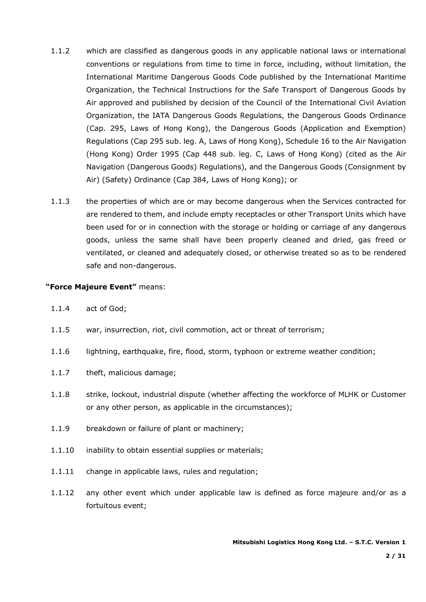- 1.1.2 which are classified as dangerous goods in any applicable national laws or international conventions or regulations from time to time in force, including, without limitation, the International Maritime Dangerous Goods Code published by the International Maritime Organization, the Technical Instructions for the Safe Transport of Dangerous Goods by Air approved and published by decision of the Council of the International Civil Aviation Organization, the IATA Dangerous Goods Regulations, the Dangerous Goods Ordinance (Cap. 295, Laws of Hong Kong), the Dangerous Goods (Application and Exemption) Regulations (Cap 295 sub. leg. A, Laws of Hong Kong), Schedule 16 to the Air Navigation (Hong Kong) Order 1995 (Cap 448 sub. leg. C, Laws of Hong Kong) (cited as the Air Navigation (Dangerous Goods) Regulations), and the Dangerous Goods (Consignment by Air) (Safety) Ordinance (Cap 384, Laws of Hong Kong); or
- 1.1.3 the properties of which are or may become dangerous when the Services contracted for are rendered to them, and include empty receptacles or other Transport Units which have been used for or in connection with the storage or holding or carriage of any dangerous goods, unless the same shall have been properly cleaned and dried, gas freed or ventilated, or cleaned and adequately closed, or otherwise treated so as to be rendered safe and non-dangerous.

### **"Force Majeure Event"** means:

- 1.1.4 act of God;
- 1.1.5 war, insurrection, riot, civil commotion, act or threat of terrorism;
- 1.1.6 lightning, earthquake, fire, flood, storm, typhoon or extreme weather condition;
- 1.1.7 theft, malicious damage;
- 1.1.8 strike, lockout, industrial dispute (whether affecting the workforce of MLHK or Customer or any other person, as applicable in the circumstances);
- 1.1.9 breakdown or failure of plant or machinery;
- 1.1.10 inability to obtain essential supplies or materials;
- 1.1.11 change in applicable laws, rules and regulation;
- 1.1.12 any other event which under applicable law is defined as force majeure and/or as a fortuitous event;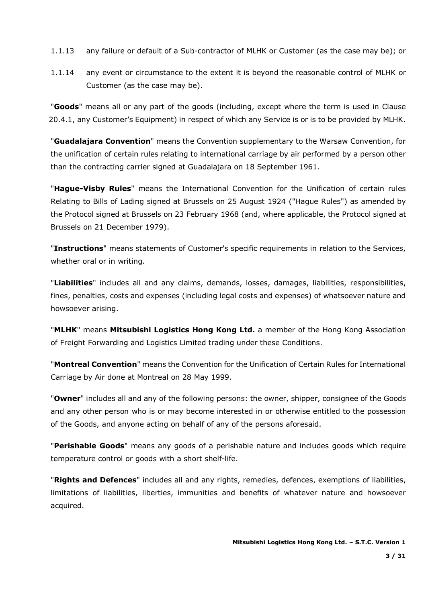- 1.1.13 any failure or default of a Sub-contractor of MLHK or Customer (as the case may be); or
- 1.1.14 any event or circumstance to the extent it is beyond the reasonable control of MLHK or Customer (as the case may be).

"**Goods**" means all or any part of the goods (including, except where the term is used in Clause 20.4.1, any Customer's Equipment) in respect of which any Service is or is to be provided by MLHK.

"**Guadalajara Convention**" means the Convention supplementary to the Warsaw Convention, for the unification of certain rules relating to international carriage by air performed by a person other than the contracting carrier signed at Guadalajara on 18 September 1961.

"**Hague-Visby Rules**" means the International Convention for the Unification of certain rules Relating to Bills of Lading signed at Brussels on 25 August 1924 ("Hague Rules") as amended by the Protocol signed at Brussels on 23 February 1968 (and, where applicable, the Protocol signed at Brussels on 21 December 1979).

"**Instructions**" means statements of Customer's specific requirements in relation to the Services, whether oral or in writing.

"**Liabilities**" includes all and any claims, demands, losses, damages, liabilities, responsibilities, fines, penalties, costs and expenses (including legal costs and expenses) of whatsoever nature and howsoever arising.

"**MLHK**" means **Mitsubishi Logistics Hong Kong Ltd.** a member of the Hong Kong Association of Freight Forwarding and Logistics Limited trading under these Conditions.

"**Montreal Convention**" means the Convention for the Unification of Certain Rules for International Carriage by Air done at Montreal on 28 May 1999.

"**Owner**" includes all and any of the following persons: the owner, shipper, consignee of the Goods and any other person who is or may become interested in or otherwise entitled to the possession of the Goods, and anyone acting on behalf of any of the persons aforesaid.

"**Perishable Goods**" means any goods of a perishable nature and includes goods which require temperature control or goods with a short shelf-life.

"**Rights and Defences**" includes all and any rights, remedies, defences, exemptions of liabilities, limitations of liabilities, liberties, immunities and benefits of whatever nature and howsoever acquired.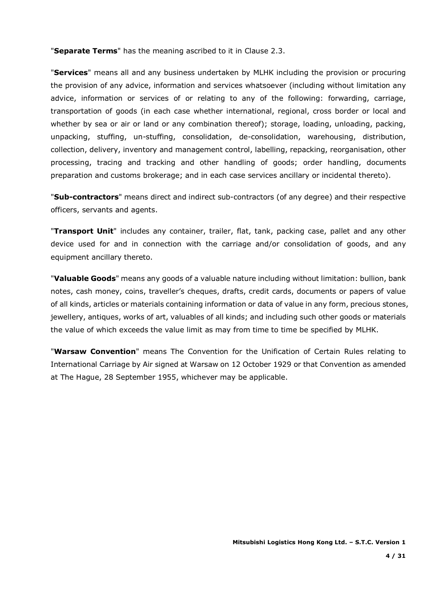"**Separate Terms**" has the meaning ascribed to it in Clause 2.3.

"**Services**" means all and any business undertaken by MLHK including the provision or procuring the provision of any advice, information and services whatsoever (including without limitation any advice, information or services of or relating to any of the following: forwarding, carriage, transportation of goods (in each case whether international, regional, cross border or local and whether by sea or air or land or any combination thereof); storage, loading, unloading, packing, unpacking, stuffing, un-stuffing, consolidation, de-consolidation, warehousing, distribution, collection, delivery, inventory and management control, labelling, repacking, reorganisation, other processing, tracing and tracking and other handling of goods; order handling, documents preparation and customs brokerage; and in each case services ancillary or incidental thereto).

"**Sub-contractors**" means direct and indirect sub-contractors (of any degree) and their respective officers, servants and agents.

"**Transport Unit**" includes any container, trailer, flat, tank, packing case, pallet and any other device used for and in connection with the carriage and/or consolidation of goods, and any equipment ancillary thereto.

"**Valuable Goods**" means any goods of a valuable nature including without limitation: bullion, bank notes, cash money, coins, traveller's cheques, drafts, credit cards, documents or papers of value of all kinds, articles or materials containing information or data of value in any form, precious stones, jewellery, antiques, works of art, valuables of all kinds; and including such other goods or materials the value of which exceeds the value limit as may from time to time be specified by MLHK.

"**Warsaw Convention**" means The Convention for the Unification of Certain Rules relating to International Carriage by Air signed at Warsaw on 12 October 1929 or that Convention as amended at The Hague, 28 September 1955, whichever may be applicable.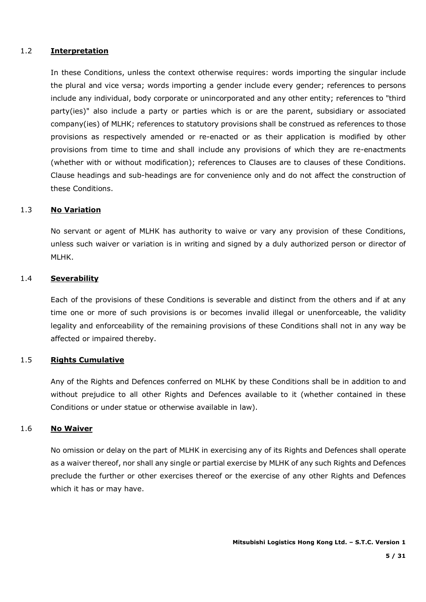### 1.2 **Interpretation**

In these Conditions, unless the context otherwise requires: words importing the singular include the plural and vice versa; words importing a gender include every gender; references to persons include any individual, body corporate or unincorporated and any other entity; references to "third party(ies)" also include a party or parties which is or are the parent, subsidiary or associated company(ies) of MLHK; references to statutory provisions shall be construed as references to those provisions as respectively amended or re-enacted or as their application is modified by other provisions from time to time and shall include any provisions of which they are re-enactments (whether with or without modification); references to Clauses are to clauses of these Conditions. Clause headings and sub-headings are for convenience only and do not affect the construction of these Conditions.

#### 1.3 **No Variation**

No servant or agent of MLHK has authority to waive or vary any provision of these Conditions, unless such waiver or variation is in writing and signed by a duly authorized person or director of MLHK.

#### 1.4 **Severability**

Each of the provisions of these Conditions is severable and distinct from the others and if at any time one or more of such provisions is or becomes invalid illegal or unenforceable, the validity legality and enforceability of the remaining provisions of these Conditions shall not in any way be affected or impaired thereby.

#### 1.5 **Rights Cumulative**

Any of the Rights and Defences conferred on MLHK by these Conditions shall be in addition to and without prejudice to all other Rights and Defences available to it (whether contained in these Conditions or under statue or otherwise available in law).

### 1.6 **No Waiver**

No omission or delay on the part of MLHK in exercising any of its Rights and Defences shall operate as a waiver thereof, nor shall any single or partial exercise by MLHK of any such Rights and Defences preclude the further or other exercises thereof or the exercise of any other Rights and Defences which it has or may have.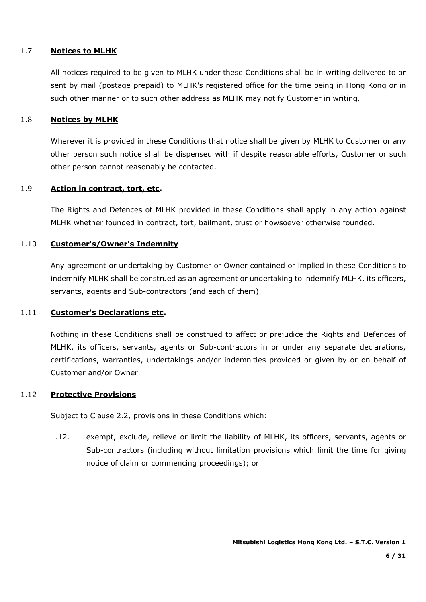### 1.7 **Notices to MLHK**

All notices required to be given to MLHK under these Conditions shall be in writing delivered to or sent by mail (postage prepaid) to MLHK's registered office for the time being in Hong Kong or in such other manner or to such other address as MLHK may notify Customer in writing.

### 1.8 **Notices by MLHK**

Wherever it is provided in these Conditions that notice shall be given by MLHK to Customer or any other person such notice shall be dispensed with if despite reasonable efforts, Customer or such other person cannot reasonably be contacted.

### 1.9 **Action in contract, tort, etc.**

The Rights and Defences of MLHK provided in these Conditions shall apply in any action against MLHK whether founded in contract, tort, bailment, trust or howsoever otherwise founded.

### 1.10 **Customer's/Owner's Indemnity**

Any agreement or undertaking by Customer or Owner contained or implied in these Conditions to indemnify MLHK shall be construed as an agreement or undertaking to indemnify MLHK, its officers, servants, agents and Sub-contractors (and each of them).

### 1.11 **Customer's Declarations etc.**

Nothing in these Conditions shall be construed to affect or prejudice the Rights and Defences of MLHK, its officers, servants, agents or Sub-contractors in or under any separate declarations, certifications, warranties, undertakings and/or indemnities provided or given by or on behalf of Customer and/or Owner.

### 1.12 **Protective Provisions**

Subject to Clause 2.2, provisions in these Conditions which:

1.12.1 exempt, exclude, relieve or limit the liability of MLHK, its officers, servants, agents or Sub-contractors (including without limitation provisions which limit the time for giving notice of claim or commencing proceedings); or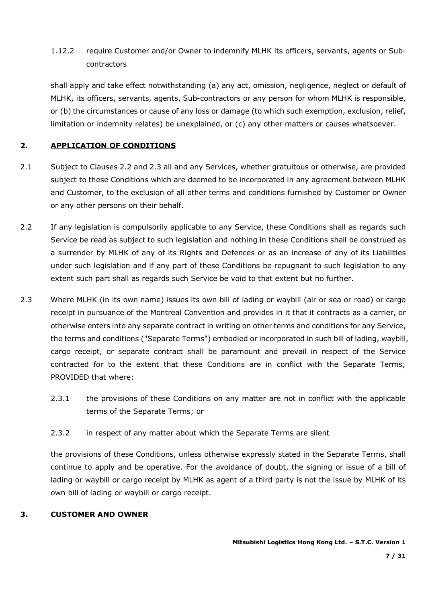# 1.12.2 require Customer and/or Owner to indemnify MLHK its officers, servants, agents or Subcontractors

shall apply and take effect notwithstanding (a) any act, omission, negligence, neglect or default of MLHK, its officers, servants, agents, Sub-contractors or any person for whom MLHK is responsible, or (b) the circumstances or cause of any loss or damage (to which such exemption, exclusion, relief, limitation or indemnity relates) be unexplained, or (c) any other matters or causes whatsoever.

# **2. APPLICATION OF CONDITIONS**

- 2.1 Subject to Clauses 2.2 and 2.3 all and any Services, whether gratuitous or otherwise, are provided subject to these Conditions which are deemed to be incorporated in any agreement between MLHK and Customer, to the exclusion of all other terms and conditions furnished by Customer or Owner or any other persons on their behalf.
- 2.2 If any legislation is compulsorily applicable to any Service, these Conditions shall as regards such Service be read as subject to such legislation and nothing in these Conditions shall be construed as a surrender by MLHK of any of its Rights and Defences or as an increase of any of its Liabilities under such legislation and if any part of these Conditions be repugnant to such legislation to any extent such part shall as regards such Service be void to that extent but no further.
- 2.3 Where MLHK (in its own name) issues its own bill of lading or waybill (air or sea or road) or cargo receipt in pursuance of the Montreal Convention and provides in it that it contracts as a carrier, or otherwise enters into any separate contract in writing on other terms and conditions for any Service, the terms and conditions ("Separate Terms") embodied or incorporated in such bill of lading, waybill, cargo receipt, or separate contract shall be paramount and prevail in respect of the Service contracted for to the extent that these Conditions are in conflict with the Separate Terms; PROVIDED that where:
	- 2.3.1 the provisions of these Conditions on any matter are not in conflict with the applicable terms of the Separate Terms; or
	- 2.3.2 in respect of any matter about which the Separate Terms are silent

the provisions of these Conditions, unless otherwise expressly stated in the Separate Terms, shall continue to apply and be operative. For the avoidance of doubt, the signing or issue of a bill of lading or waybill or cargo receipt by MLHK as agent of a third party is not the issue by MLHK of its own bill of lading or waybill or cargo receipt.

# **3. CUSTOMER AND OWNER**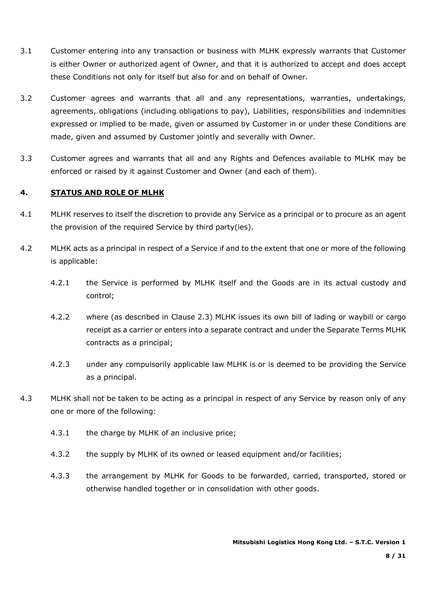- 3.1 Customer entering into any transaction or business with MLHK expressly warrants that Customer is either Owner or authorized agent of Owner, and that it is authorized to accept and does accept these Conditions not only for itself but also for and on behalf of Owner.
- 3.2 Customer agrees and warrants that all and any representations, warranties, undertakings, agreements, obligations (including obligations to pay), Liabilities, responsibilities and indemnities expressed or implied to be made, given or assumed by Customer in or under these Conditions are made, given and assumed by Customer jointly and severally with Owner.
- 3.3 Customer agrees and warrants that all and any Rights and Defences available to MLHK may be enforced or raised by it against Customer and Owner (and each of them).

# **4. STATUS AND ROLE OF MLHK**

- 4.1 MLHK reserves to itself the discretion to provide any Service as a principal or to procure as an agent the provision of the required Service by third party(ies).
- 4.2 MLHK acts as a principal in respect of a Service if and to the extent that one or more of the following is applicable:
	- 4.2.1 the Service is performed by MLHK itself and the Goods are in its actual custody and control;
	- 4.2.2 where (as described in Clause 2.3) MLHK issues its own bill of lading or waybill or cargo receipt as a carrier or enters into a separate contract and under the Separate Terms MLHK contracts as a principal;
	- 4.2.3 under any compulsorily applicable law MLHK is or is deemed to be providing the Service as a principal.
- 4.3 MLHK shall not be taken to be acting as a principal in respect of any Service by reason only of any one or more of the following:
	- 4.3.1 the charge by MLHK of an inclusive price;
	- 4.3.2 the supply by MLHK of its owned or leased equipment and/or facilities;
	- 4.3.3 the arrangement by MLHK for Goods to be forwarded, carried, transported, stored or otherwise handled together or in consolidation with other goods.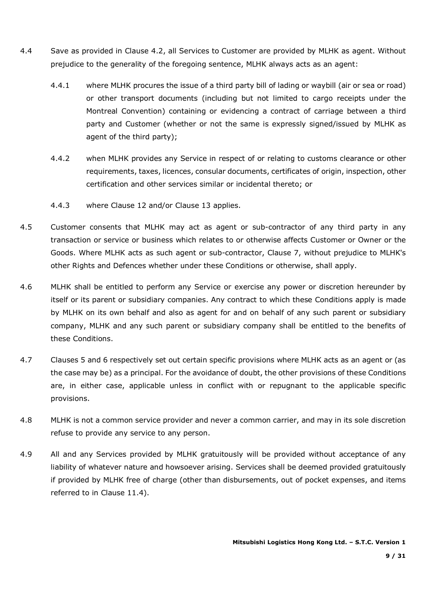- 4.4 Save as provided in Clause 4.2, all Services to Customer are provided by MLHK as agent. Without prejudice to the generality of the foregoing sentence, MLHK always acts as an agent:
	- 4.4.1 where MLHK procures the issue of a third party bill of lading or waybill (air or sea or road) or other transport documents (including but not limited to cargo receipts under the Montreal Convention) containing or evidencing a contract of carriage between a third party and Customer (whether or not the same is expressly signed/issued by MLHK as agent of the third party);
	- 4.4.2 when MLHK provides any Service in respect of or relating to customs clearance or other requirements, taxes, licences, consular documents, certificates of origin, inspection, other certification and other services similar or incidental thereto; or
	- 4.4.3 where Clause 12 and/or Clause 13 applies.
- 4.5 Customer consents that MLHK may act as agent or sub-contractor of any third party in any transaction or service or business which relates to or otherwise affects Customer or Owner or the Goods. Where MLHK acts as such agent or sub-contractor, Clause 7, without prejudice to MLHK's other Rights and Defences whether under these Conditions or otherwise, shall apply.
- 4.6 MLHK shall be entitled to perform any Service or exercise any power or discretion hereunder by itself or its parent or subsidiary companies. Any contract to which these Conditions apply is made by MLHK on its own behalf and also as agent for and on behalf of any such parent or subsidiary company, MLHK and any such parent or subsidiary company shall be entitled to the benefits of these Conditions.
- 4.7 Clauses 5 and 6 respectively set out certain specific provisions where MLHK acts as an agent or (as the case may be) as a principal. For the avoidance of doubt, the other provisions of these Conditions are, in either case, applicable unless in conflict with or repugnant to the applicable specific provisions.
- 4.8 MLHK is not a common service provider and never a common carrier, and may in its sole discretion refuse to provide any service to any person.
- 4.9 All and any Services provided by MLHK gratuitously will be provided without acceptance of any liability of whatever nature and howsoever arising. Services shall be deemed provided gratuitously if provided by MLHK free of charge (other than disbursements, out of pocket expenses, and items referred to in Clause 11.4).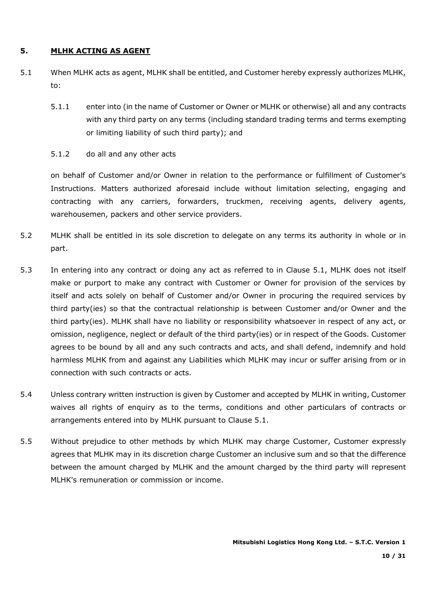### **5. MLHK ACTING AS AGENT**

- 5.1 When MLHK acts as agent, MLHK shall be entitled, and Customer hereby expressly authorizes MLHK, to:
	- 5.1.1 enter into (in the name of Customer or Owner or MLHK or otherwise) all and any contracts with any third party on any terms (including standard trading terms and terms exempting or limiting liability of such third party); and
	- 5.1.2 do all and any other acts

on behalf of Customer and/or Owner in relation to the performance or fulfillment of Customer's Instructions. Matters authorized aforesaid include without limitation selecting, engaging and contracting with any carriers, forwarders, truckmen, receiving agents, delivery agents, warehousemen, packers and other service providers.

- 5.2 MLHK shall be entitled in its sole discretion to delegate on any terms its authority in whole or in part.
- 5.3 In entering into any contract or doing any act as referred to in Clause 5.1, MLHK does not itself make or purport to make any contract with Customer or Owner for provision of the services by itself and acts solely on behalf of Customer and/or Owner in procuring the required services by third party(ies) so that the contractual relationship is between Customer and/or Owner and the third party(ies). MLHK shall have no liability or responsibility whatsoever in respect of any act, or omission, negligence, neglect or default of the third party(ies) or in respect of the Goods. Customer agrees to be bound by all and any such contracts and acts, and shall defend, indemnify and hold harmless MLHK from and against any Liabilities which MLHK may incur or suffer arising from or in connection with such contracts or acts.
- 5.4 Unless contrary written instruction is given by Customer and accepted by MLHK in writing, Customer waives all rights of enquiry as to the terms, conditions and other particulars of contracts or arrangements entered into by MLHK pursuant to Clause 5.1.
- 5.5 Without prejudice to other methods by which MLHK may charge Customer, Customer expressly agrees that MLHK may in its discretion charge Customer an inclusive sum and so that the difference between the amount charged by MLHK and the amount charged by the third party will represent MLHK's remuneration or commission or income.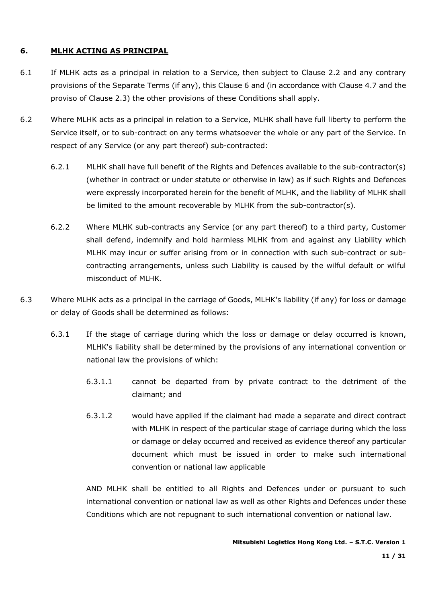### **6. MLHK ACTING AS PRINCIPAL**

- 6.1 If MLHK acts as a principal in relation to a Service, then subject to Clause 2.2 and any contrary provisions of the Separate Terms (if any), this Clause 6 and (in accordance with Clause 4.7 and the proviso of Clause 2.3) the other provisions of these Conditions shall apply.
- 6.2 Where MLHK acts as a principal in relation to a Service, MLHK shall have full liberty to perform the Service itself, or to sub-contract on any terms whatsoever the whole or any part of the Service. In respect of any Service (or any part thereof) sub-contracted:
	- 6.2.1 MLHK shall have full benefit of the Rights and Defences available to the sub-contractor(s) (whether in contract or under statute or otherwise in law) as if such Rights and Defences were expressly incorporated herein for the benefit of MLHK, and the liability of MLHK shall be limited to the amount recoverable by MLHK from the sub-contractor(s).
	- 6.2.2 Where MLHK sub-contracts any Service (or any part thereof) to a third party, Customer shall defend, indemnify and hold harmless MLHK from and against any Liability which MLHK may incur or suffer arising from or in connection with such sub-contract or subcontracting arrangements, unless such Liability is caused by the wilful default or wilful misconduct of MLHK.
- 6.3 Where MLHK acts as a principal in the carriage of Goods, MLHK's liability (if any) for loss or damage or delay of Goods shall be determined as follows:
	- 6.3.1 If the stage of carriage during which the loss or damage or delay occurred is known, MLHK's liability shall be determined by the provisions of any international convention or national law the provisions of which:
		- 6.3.1.1 cannot be departed from by private contract to the detriment of the claimant; and
		- 6.3.1.2 would have applied if the claimant had made a separate and direct contract with MLHK in respect of the particular stage of carriage during which the loss or damage or delay occurred and received as evidence thereof any particular document which must be issued in order to make such international convention or national law applicable

AND MLHK shall be entitled to all Rights and Defences under or pursuant to such international convention or national law as well as other Rights and Defences under these Conditions which are not repugnant to such international convention or national law.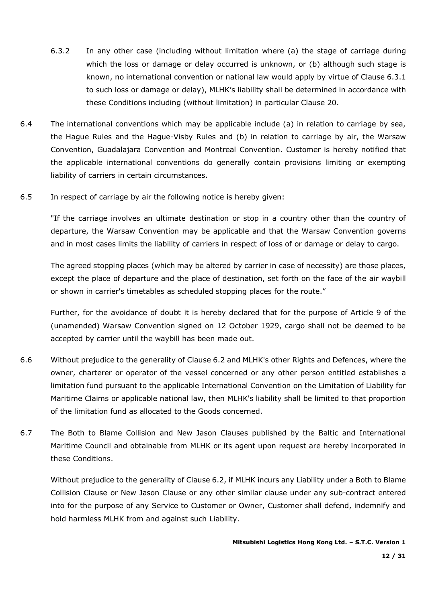- 6.3.2 In any other case (including without limitation where (a) the stage of carriage during which the loss or damage or delay occurred is unknown, or (b) although such stage is known, no international convention or national law would apply by virtue of Clause 6.3.1 to such loss or damage or delay), MLHK's liability shall be determined in accordance with these Conditions including (without limitation) in particular Clause 20.
- 6.4 The international conventions which may be applicable include (a) in relation to carriage by sea, the Hague Rules and the Hague-Visby Rules and (b) in relation to carriage by air, the Warsaw Convention, Guadalajara Convention and Montreal Convention. Customer is hereby notified that the applicable international conventions do generally contain provisions limiting or exempting liability of carriers in certain circumstances.
- 6.5 In respect of carriage by air the following notice is hereby given:

"If the carriage involves an ultimate destination or stop in a country other than the country of departure, the Warsaw Convention may be applicable and that the Warsaw Convention governs and in most cases limits the liability of carriers in respect of loss of or damage or delay to cargo.

The agreed stopping places (which may be altered by carrier in case of necessity) are those places, except the place of departure and the place of destination, set forth on the face of the air waybill or shown in carrier's timetables as scheduled stopping places for the route."

Further, for the avoidance of doubt it is hereby declared that for the purpose of Article 9 of the (unamended) Warsaw Convention signed on 12 October 1929, cargo shall not be deemed to be accepted by carrier until the waybill has been made out.

- 6.6 Without prejudice to the generality of Clause 6.2 and MLHK's other Rights and Defences, where the owner, charterer or operator of the vessel concerned or any other person entitled establishes a limitation fund pursuant to the applicable International Convention on the Limitation of Liability for Maritime Claims or applicable national law, then MLHK's liability shall be limited to that proportion of the limitation fund as allocated to the Goods concerned.
- 6.7 The Both to Blame Collision and New Jason Clauses published by the Baltic and International Maritime Council and obtainable from MLHK or its agent upon request are hereby incorporated in these Conditions.

Without prejudice to the generality of Clause 6.2, if MLHK incurs any Liability under a Both to Blame Collision Clause or New Jason Clause or any other similar clause under any sub-contract entered into for the purpose of any Service to Customer or Owner, Customer shall defend, indemnify and hold harmless MLHK from and against such Liability.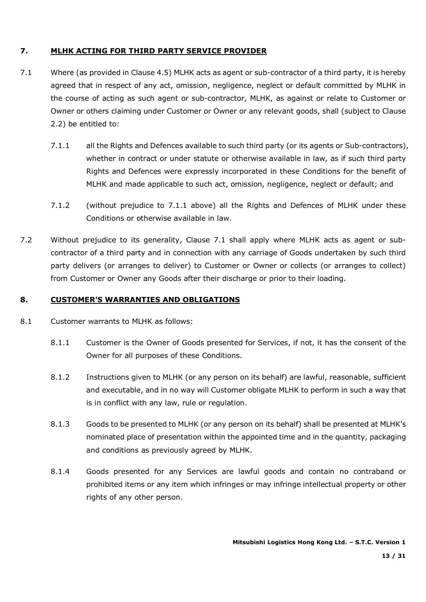### **7. MLHK ACTING FOR THIRD PARTY SERVICE PROVIDER**

- 7.1 Where (as provided in Clause 4.5) MLHK acts as agent or sub-contractor of a third party, it is hereby agreed that in respect of any act, omission, negligence, neglect or default committed by MLHK in the course of acting as such agent or sub-contractor, MLHK, as against or relate to Customer or Owner or others claiming under Customer or Owner or any relevant goods, shall (subject to Clause 2.2) be entitled to:
	- 7.1.1 all the Rights and Defences available to such third party (or its agents or Sub-contractors), whether in contract or under statute or otherwise available in law, as if such third party Rights and Defences were expressly incorporated in these Conditions for the benefit of MLHK and made applicable to such act, omission, negligence, neglect or default; and
	- 7.1.2 (without prejudice to 7.1.1 above) all the Rights and Defences of MLHK under these Conditions or otherwise available in law.
- 7.2 Without prejudice to its generality, Clause 7.1 shall apply where MLHK acts as agent or subcontractor of a third party and in connection with any carriage of Goods undertaken by such third party delivers (or arranges to deliver) to Customer or Owner or collects (or arranges to collect) from Customer or Owner any Goods after their discharge or prior to their loading.

### **8. CUSTOMER'S WARRANTIES AND OBLIGATIONS**

- 8.1 Customer warrants to MLHK as follows:
	- 8.1.1 Customer is the Owner of Goods presented for Services, if not, it has the consent of the Owner for all purposes of these Conditions.
	- 8.1.2 Instructions given to MLHK (or any person on its behalf) are lawful, reasonable, sufficient and executable, and in no way will Customer obligate MLHK to perform in such a way that is in conflict with any law, rule or regulation.
	- 8.1.3 Goods to be presented to MLHK (or any person on its behalf) shall be presented at MLHK's nominated place of presentation within the appointed time and in the quantity, packaging and conditions as previously agreed by MLHK.
	- 8.1.4 Goods presented for any Services are lawful goods and contain no contraband or prohibited items or any item which infringes or may infringe intellectual property or other rights of any other person.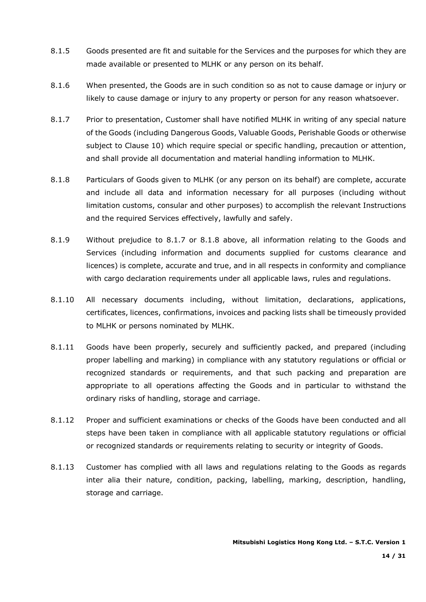- 8.1.5 Goods presented are fit and suitable for the Services and the purposes for which they are made available or presented to MLHK or any person on its behalf.
- 8.1.6 When presented, the Goods are in such condition so as not to cause damage or injury or likely to cause damage or injury to any property or person for any reason whatsoever.
- 8.1.7 Prior to presentation, Customer shall have notified MLHK in writing of any special nature of the Goods (including Dangerous Goods, Valuable Goods, Perishable Goods or otherwise subject to Clause 10) which require special or specific handling, precaution or attention, and shall provide all documentation and material handling information to MLHK.
- 8.1.8 Particulars of Goods given to MLHK (or any person on its behalf) are complete, accurate and include all data and information necessary for all purposes (including without limitation customs, consular and other purposes) to accomplish the relevant Instructions and the required Services effectively, lawfully and safely.
- 8.1.9 Without prejudice to 8.1.7 or 8.1.8 above, all information relating to the Goods and Services (including information and documents supplied for customs clearance and licences) is complete, accurate and true, and in all respects in conformity and compliance with cargo declaration requirements under all applicable laws, rules and regulations.
- 8.1.10 All necessary documents including, without limitation, declarations, applications, certificates, licences, confirmations, invoices and packing lists shall be timeously provided to MLHK or persons nominated by MLHK.
- 8.1.11 Goods have been properly, securely and sufficiently packed, and prepared (including proper labelling and marking) in compliance with any statutory regulations or official or recognized standards or requirements, and that such packing and preparation are appropriate to all operations affecting the Goods and in particular to withstand the ordinary risks of handling, storage and carriage.
- 8.1.12 Proper and sufficient examinations or checks of the Goods have been conducted and all steps have been taken in compliance with all applicable statutory regulations or official or recognized standards or requirements relating to security or integrity of Goods.
- 8.1.13 Customer has complied with all laws and regulations relating to the Goods as regards inter alia their nature, condition, packing, labelling, marking, description, handling, storage and carriage.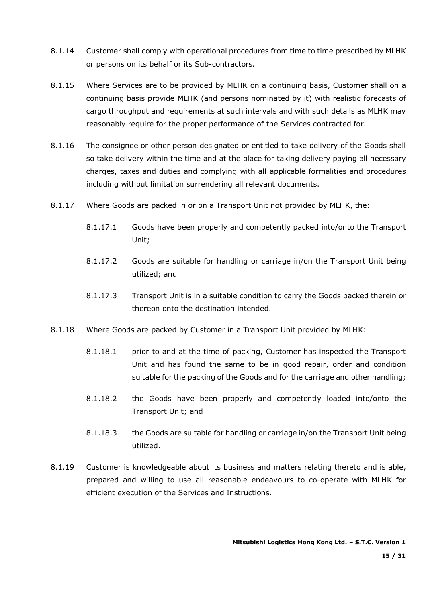- 8.1.14 Customer shall comply with operational procedures from time to time prescribed by MLHK or persons on its behalf or its Sub-contractors.
- 8.1.15 Where Services are to be provided by MLHK on a continuing basis, Customer shall on a continuing basis provide MLHK (and persons nominated by it) with realistic forecasts of cargo throughput and requirements at such intervals and with such details as MLHK may reasonably require for the proper performance of the Services contracted for.
- 8.1.16 The consignee or other person designated or entitled to take delivery of the Goods shall so take delivery within the time and at the place for taking delivery paying all necessary charges, taxes and duties and complying with all applicable formalities and procedures including without limitation surrendering all relevant documents.
- 8.1.17 Where Goods are packed in or on a Transport Unit not provided by MLHK, the:
	- 8.1.17.1 Goods have been properly and competently packed into/onto the Transport Unit;
	- 8.1.17.2 Goods are suitable for handling or carriage in/on the Transport Unit being utilized; and
	- 8.1.17.3 Transport Unit is in a suitable condition to carry the Goods packed therein or thereon onto the destination intended.
- 8.1.18 Where Goods are packed by Customer in a Transport Unit provided by MLHK:
	- 8.1.18.1 prior to and at the time of packing, Customer has inspected the Transport Unit and has found the same to be in good repair, order and condition suitable for the packing of the Goods and for the carriage and other handling;
	- 8.1.18.2 the Goods have been properly and competently loaded into/onto the Transport Unit; and
	- 8.1.18.3 the Goods are suitable for handling or carriage in/on the Transport Unit being utilized.
- 8.1.19 Customer is knowledgeable about its business and matters relating thereto and is able, prepared and willing to use all reasonable endeavours to co-operate with MLHK for efficient execution of the Services and Instructions.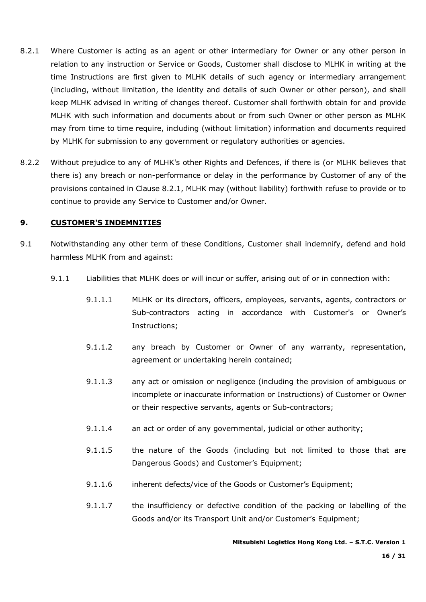- 8.2.1 Where Customer is acting as an agent or other intermediary for Owner or any other person in relation to any instruction or Service or Goods, Customer shall disclose to MLHK in writing at the time Instructions are first given to MLHK details of such agency or intermediary arrangement (including, without limitation, the identity and details of such Owner or other person), and shall keep MLHK advised in writing of changes thereof. Customer shall forthwith obtain for and provide MLHK with such information and documents about or from such Owner or other person as MLHK may from time to time require, including (without limitation) information and documents required by MLHK for submission to any government or regulatory authorities or agencies.
- 8.2.2 Without prejudice to any of MLHK's other Rights and Defences, if there is (or MLHK believes that there is) any breach or non-performance or delay in the performance by Customer of any of the provisions contained in Clause 8.2.1, MLHK may (without liability) forthwith refuse to provide or to continue to provide any Service to Customer and/or Owner.

### **9. CUSTOMER'S INDEMNITIES**

- 9.1 Notwithstanding any other term of these Conditions, Customer shall indemnify, defend and hold harmless MLHK from and against:
	- 9.1.1 Liabilities that MLHK does or will incur or suffer, arising out of or in connection with:
		- 9.1.1.1 MLHK or its directors, officers, employees, servants, agents, contractors or Sub-contractors acting in accordance with Customer's or Owner's Instructions;
		- 9.1.1.2 any breach by Customer or Owner of any warranty, representation, agreement or undertaking herein contained;
		- 9.1.1.3 any act or omission or negligence (including the provision of ambiguous or incomplete or inaccurate information or Instructions) of Customer or Owner or their respective servants, agents or Sub-contractors;
		- 9.1.1.4 an act or order of any governmental, judicial or other authority;
		- 9.1.1.5 the nature of the Goods (including but not limited to those that are Dangerous Goods) and Customer's Equipment;
		- 9.1.1.6 inherent defects/vice of the Goods or Customer's Equipment;
		- 9.1.1.7 the insufficiency or defective condition of the packing or labelling of the Goods and/or its Transport Unit and/or Customer's Equipment;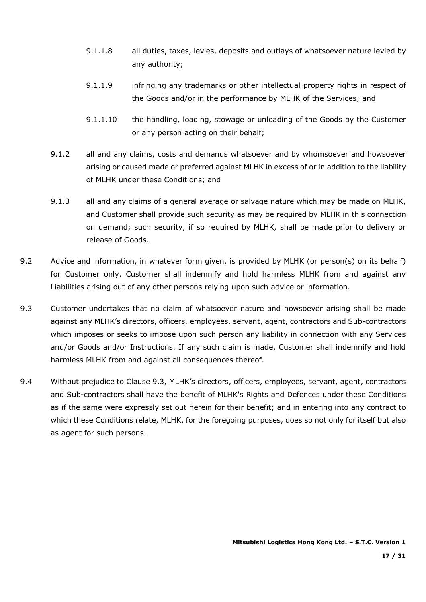- 9.1.1.8 all duties, taxes, levies, deposits and outlays of whatsoever nature levied by any authority;
- 9.1.1.9 infringing any trademarks or other intellectual property rights in respect of the Goods and/or in the performance by MLHK of the Services; and
- 9.1.1.10 the handling, loading, stowage or unloading of the Goods by the Customer or any person acting on their behalf;
- 9.1.2 all and any claims, costs and demands whatsoever and by whomsoever and howsoever arising or caused made or preferred against MLHK in excess of or in addition to the liability of MLHK under these Conditions; and
- 9.1.3 all and any claims of a general average or salvage nature which may be made on MLHK, and Customer shall provide such security as may be required by MLHK in this connection on demand; such security, if so required by MLHK, shall be made prior to delivery or release of Goods.
- 9.2 Advice and information, in whatever form given, is provided by MLHK (or person(s) on its behalf) for Customer only. Customer shall indemnify and hold harmless MLHK from and against any Liabilities arising out of any other persons relying upon such advice or information.
- 9.3 Customer undertakes that no claim of whatsoever nature and howsoever arising shall be made against any MLHK's directors, officers, employees, servant, agent, contractors and Sub-contractors which imposes or seeks to impose upon such person any liability in connection with any Services and/or Goods and/or Instructions. If any such claim is made, Customer shall indemnify and hold harmless MLHK from and against all consequences thereof.
- 9.4 Without prejudice to Clause 9.3, MLHK's directors, officers, employees, servant, agent, contractors and Sub-contractors shall have the benefit of MLHK's Rights and Defences under these Conditions as if the same were expressly set out herein for their benefit; and in entering into any contract to which these Conditions relate, MLHK, for the foregoing purposes, does so not only for itself but also as agent for such persons.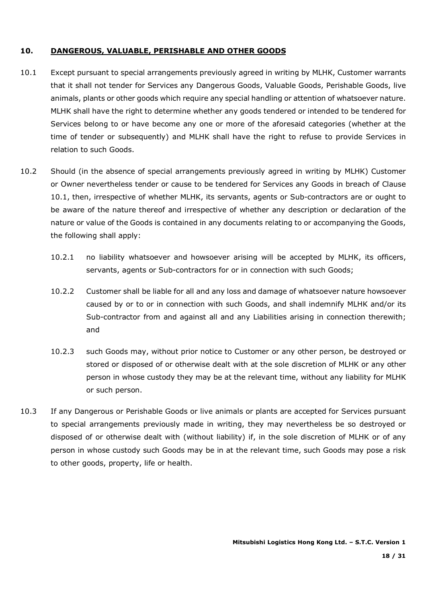### **10. DANGEROUS, VALUABLE, PERISHABLE AND OTHER GOODS**

- 10.1 Except pursuant to special arrangements previously agreed in writing by MLHK, Customer warrants that it shall not tender for Services any Dangerous Goods, Valuable Goods, Perishable Goods, live animals, plants or other goods which require any special handling or attention of whatsoever nature. MLHK shall have the right to determine whether any goods tendered or intended to be tendered for Services belong to or have become any one or more of the aforesaid categories (whether at the time of tender or subsequently) and MLHK shall have the right to refuse to provide Services in relation to such Goods.
- 10.2 Should (in the absence of special arrangements previously agreed in writing by MLHK) Customer or Owner nevertheless tender or cause to be tendered for Services any Goods in breach of Clause 10.1, then, irrespective of whether MLHK, its servants, agents or Sub-contractors are or ought to be aware of the nature thereof and irrespective of whether any description or declaration of the nature or value of the Goods is contained in any documents relating to or accompanying the Goods, the following shall apply:
	- 10.2.1 no liability whatsoever and howsoever arising will be accepted by MLHK, its officers, servants, agents or Sub-contractors for or in connection with such Goods;
	- 10.2.2 Customer shall be liable for all and any loss and damage of whatsoever nature howsoever caused by or to or in connection with such Goods, and shall indemnify MLHK and/or its Sub-contractor from and against all and any Liabilities arising in connection therewith; and
	- 10.2.3 such Goods may, without prior notice to Customer or any other person, be destroyed or stored or disposed of or otherwise dealt with at the sole discretion of MLHK or any other person in whose custody they may be at the relevant time, without any liability for MLHK or such person.
- 10.3 If any Dangerous or Perishable Goods or live animals or plants are accepted for Services pursuant to special arrangements previously made in writing, they may nevertheless be so destroyed or disposed of or otherwise dealt with (without liability) if, in the sole discretion of MLHK or of any person in whose custody such Goods may be in at the relevant time, such Goods may pose a risk to other goods, property, life or health.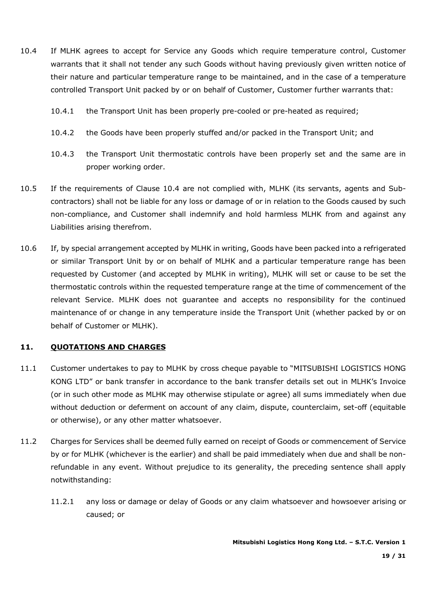- 10.4 If MLHK agrees to accept for Service any Goods which require temperature control, Customer warrants that it shall not tender any such Goods without having previously given written notice of their nature and particular temperature range to be maintained, and in the case of a temperature controlled Transport Unit packed by or on behalf of Customer, Customer further warrants that:
	- 10.4.1 the Transport Unit has been properly pre-cooled or pre-heated as required;
	- 10.4.2 the Goods have been properly stuffed and/or packed in the Transport Unit; and
	- 10.4.3 the Transport Unit thermostatic controls have been properly set and the same are in proper working order.
- 10.5 If the requirements of Clause 10.4 are not complied with, MLHK (its servants, agents and Subcontractors) shall not be liable for any loss or damage of or in relation to the Goods caused by such non-compliance, and Customer shall indemnify and hold harmless MLHK from and against any Liabilities arising therefrom.
- 10.6 If, by special arrangement accepted by MLHK in writing, Goods have been packed into a refrigerated or similar Transport Unit by or on behalf of MLHK and a particular temperature range has been requested by Customer (and accepted by MLHK in writing), MLHK will set or cause to be set the thermostatic controls within the requested temperature range at the time of commencement of the relevant Service. MLHK does not guarantee and accepts no responsibility for the continued maintenance of or change in any temperature inside the Transport Unit (whether packed by or on behalf of Customer or MLHK).

### **11. QUOTATIONS AND CHARGES**

- 11.1 Customer undertakes to pay to MLHK by cross cheque payable to "MITSUBISHI LOGISTICS HONG KONG LTD" or bank transfer in accordance to the bank transfer details set out in MLHK's Invoice (or in such other mode as MLHK may otherwise stipulate or agree) all sums immediately when due without deduction or deferment on account of any claim, dispute, counterclaim, set-off (equitable or otherwise), or any other matter whatsoever.
- 11.2 Charges for Services shall be deemed fully earned on receipt of Goods or commencement of Service by or for MLHK (whichever is the earlier) and shall be paid immediately when due and shall be nonrefundable in any event. Without prejudice to its generality, the preceding sentence shall apply notwithstanding:
	- 11.2.1 any loss or damage or delay of Goods or any claim whatsoever and howsoever arising or caused; or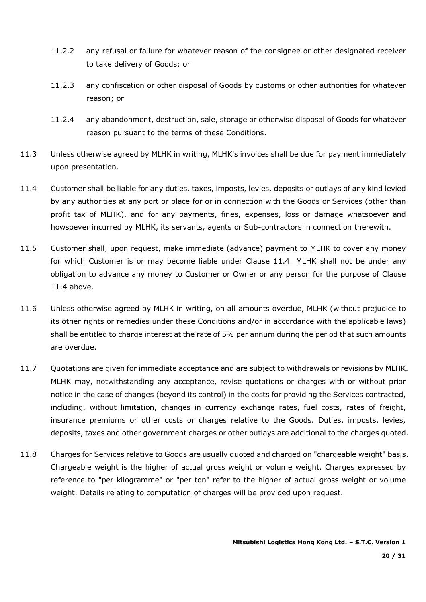- 11.2.2 any refusal or failure for whatever reason of the consignee or other designated receiver to take delivery of Goods; or
- 11.2.3 any confiscation or other disposal of Goods by customs or other authorities for whatever reason; or
- 11.2.4 any abandonment, destruction, sale, storage or otherwise disposal of Goods for whatever reason pursuant to the terms of these Conditions.
- 11.3 Unless otherwise agreed by MLHK in writing, MLHK's invoices shall be due for payment immediately upon presentation.
- 11.4 Customer shall be liable for any duties, taxes, imposts, levies, deposits or outlays of any kind levied by any authorities at any port or place for or in connection with the Goods or Services (other than profit tax of MLHK), and for any payments, fines, expenses, loss or damage whatsoever and howsoever incurred by MLHK, its servants, agents or Sub-contractors in connection therewith.
- 11.5 Customer shall, upon request, make immediate (advance) payment to MLHK to cover any money for which Customer is or may become liable under Clause 11.4. MLHK shall not be under any obligation to advance any money to Customer or Owner or any person for the purpose of Clause 11.4 above
- 11.6 Unless otherwise agreed by MLHK in writing, on all amounts overdue, MLHK (without prejudice to its other rights or remedies under these Conditions and/or in accordance with the applicable laws) shall be entitled to charge interest at the rate of 5% per annum during the period that such amounts are overdue.
- 11.7 Quotations are given for immediate acceptance and are subject to withdrawals or revisions by MLHK. MLHK may, notwithstanding any acceptance, revise quotations or charges with or without prior notice in the case of changes (beyond its control) in the costs for providing the Services contracted, including, without limitation, changes in currency exchange rates, fuel costs, rates of freight, insurance premiums or other costs or charges relative to the Goods. Duties, imposts, levies, deposits, taxes and other government charges or other outlays are additional to the charges quoted.
- 11.8 Charges for Services relative to Goods are usually quoted and charged on "chargeable weight" basis. Chargeable weight is the higher of actual gross weight or volume weight. Charges expressed by reference to "per kilogramme" or "per ton" refer to the higher of actual gross weight or volume weight. Details relating to computation of charges will be provided upon request.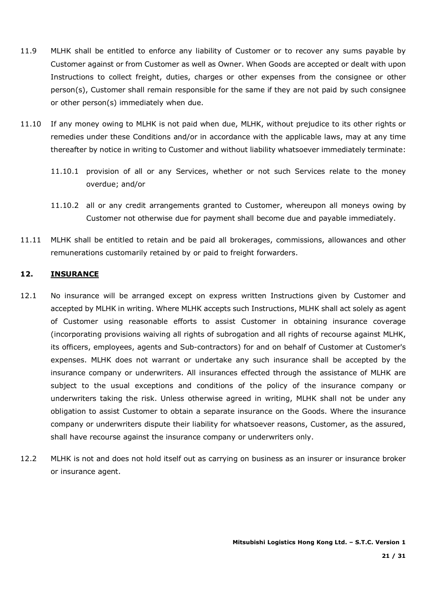- 11.9 MLHK shall be entitled to enforce any liability of Customer or to recover any sums payable by Customer against or from Customer as well as Owner. When Goods are accepted or dealt with upon Instructions to collect freight, duties, charges or other expenses from the consignee or other person(s), Customer shall remain responsible for the same if they are not paid by such consignee or other person(s) immediately when due.
- 11.10 If any money owing to MLHK is not paid when due, MLHK, without prejudice to its other rights or remedies under these Conditions and/or in accordance with the applicable laws, may at any time thereafter by notice in writing to Customer and without liability whatsoever immediately terminate:
	- 11.10.1 provision of all or any Services, whether or not such Services relate to the money overdue; and/or
	- 11.10.2 all or any credit arrangements granted to Customer, whereupon all moneys owing by Customer not otherwise due for payment shall become due and payable immediately.
- 11.11 MLHK shall be entitled to retain and be paid all brokerages, commissions, allowances and other remunerations customarily retained by or paid to freight forwarders.

### **12. INSURANCE**

- 12.1 No insurance will be arranged except on express written Instructions given by Customer and accepted by MLHK in writing. Where MLHK accepts such Instructions, MLHK shall act solely as agent of Customer using reasonable efforts to assist Customer in obtaining insurance coverage (incorporating provisions waiving all rights of subrogation and all rights of recourse against MLHK, its officers, employees, agents and Sub-contractors) for and on behalf of Customer at Customer's expenses. MLHK does not warrant or undertake any such insurance shall be accepted by the insurance company or underwriters. All insurances effected through the assistance of MLHK are subject to the usual exceptions and conditions of the policy of the insurance company or underwriters taking the risk. Unless otherwise agreed in writing, MLHK shall not be under any obligation to assist Customer to obtain a separate insurance on the Goods. Where the insurance company or underwriters dispute their liability for whatsoever reasons, Customer, as the assured, shall have recourse against the insurance company or underwriters only.
- 12.2 MLHK is not and does not hold itself out as carrying on business as an insurer or insurance broker or insurance agent.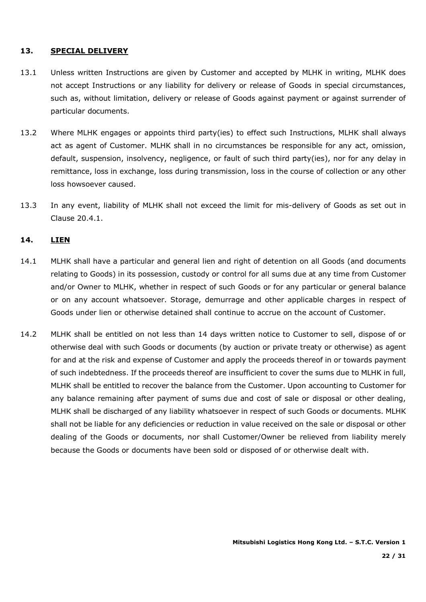### **13. SPECIAL DELIVERY**

- 13.1 Unless written Instructions are given by Customer and accepted by MLHK in writing, MLHK does not accept Instructions or any liability for delivery or release of Goods in special circumstances, such as, without limitation, delivery or release of Goods against payment or against surrender of particular documents.
- 13.2 Where MLHK engages or appoints third party(ies) to effect such Instructions, MLHK shall always act as agent of Customer. MLHK shall in no circumstances be responsible for any act, omission, default, suspension, insolvency, negligence, or fault of such third party(ies), nor for any delay in remittance, loss in exchange, loss during transmission, loss in the course of collection or any other loss howsoever caused.
- 13.3 In any event, liability of MLHK shall not exceed the limit for mis-delivery of Goods as set out in Clause 20.4.1.

#### **14. LIEN**

- 14.1 MLHK shall have a particular and general lien and right of detention on all Goods (and documents relating to Goods) in its possession, custody or control for all sums due at any time from Customer and/or Owner to MLHK, whether in respect of such Goods or for any particular or general balance or on any account whatsoever. Storage, demurrage and other applicable charges in respect of Goods under lien or otherwise detained shall continue to accrue on the account of Customer.
- 14.2 MLHK shall be entitled on not less than 14 days written notice to Customer to sell, dispose of or otherwise deal with such Goods or documents (by auction or private treaty or otherwise) as agent for and at the risk and expense of Customer and apply the proceeds thereof in or towards payment of such indebtedness. If the proceeds thereof are insufficient to cover the sums due to MLHK in full, MLHK shall be entitled to recover the balance from the Customer. Upon accounting to Customer for any balance remaining after payment of sums due and cost of sale or disposal or other dealing, MLHK shall be discharged of any liability whatsoever in respect of such Goods or documents. MLHK shall not be liable for any deficiencies or reduction in value received on the sale or disposal or other dealing of the Goods or documents, nor shall Customer/Owner be relieved from liability merely because the Goods or documents have been sold or disposed of or otherwise dealt with.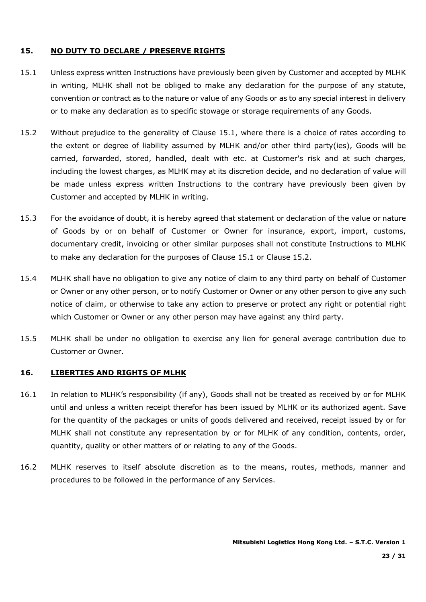### **15. NO DUTY TO DECLARE / PRESERVE RIGHTS**

- 15.1 Unless express written Instructions have previously been given by Customer and accepted by MLHK in writing, MLHK shall not be obliged to make any declaration for the purpose of any statute, convention or contract as to the nature or value of any Goods or as to any special interest in delivery or to make any declaration as to specific stowage or storage requirements of any Goods.
- 15.2 Without prejudice to the generality of Clause 15.1, where there is a choice of rates according to the extent or degree of liability assumed by MLHK and/or other third party(ies), Goods will be carried, forwarded, stored, handled, dealt with etc. at Customer's risk and at such charges, including the lowest charges, as MLHK may at its discretion decide, and no declaration of value will be made unless express written Instructions to the contrary have previously been given by Customer and accepted by MLHK in writing.
- 15.3 For the avoidance of doubt, it is hereby agreed that statement or declaration of the value or nature of Goods by or on behalf of Customer or Owner for insurance, export, import, customs, documentary credit, invoicing or other similar purposes shall not constitute Instructions to MLHK to make any declaration for the purposes of Clause 15.1 or Clause 15.2.
- 15.4 MLHK shall have no obligation to give any notice of claim to any third party on behalf of Customer or Owner or any other person, or to notify Customer or Owner or any other person to give any such notice of claim, or otherwise to take any action to preserve or protect any right or potential right which Customer or Owner or any other person may have against any third party.
- 15.5 MLHK shall be under no obligation to exercise any lien for general average contribution due to Customer or Owner.

### **16. LIBERTIES AND RIGHTS OF MLHK**

- 16.1 In relation to MLHK's responsibility (if any), Goods shall not be treated as received by or for MLHK until and unless a written receipt therefor has been issued by MLHK or its authorized agent. Save for the quantity of the packages or units of goods delivered and received, receipt issued by or for MLHK shall not constitute any representation by or for MLHK of any condition, contents, order, quantity, quality or other matters of or relating to any of the Goods.
- 16.2 MLHK reserves to itself absolute discretion as to the means, routes, methods, manner and procedures to be followed in the performance of any Services.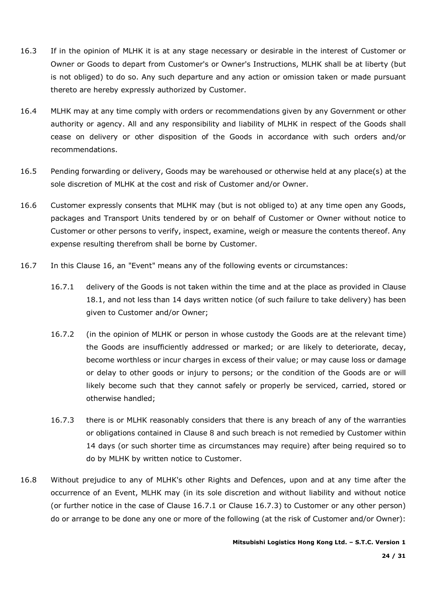- 16.3 If in the opinion of MLHK it is at any stage necessary or desirable in the interest of Customer or Owner or Goods to depart from Customer's or Owner's Instructions, MLHK shall be at liberty (but is not obliged) to do so. Any such departure and any action or omission taken or made pursuant thereto are hereby expressly authorized by Customer.
- 16.4 MLHK may at any time comply with orders or recommendations given by any Government or other authority or agency. All and any responsibility and liability of MLHK in respect of the Goods shall cease on delivery or other disposition of the Goods in accordance with such orders and/or recommendations.
- 16.5 Pending forwarding or delivery, Goods may be warehoused or otherwise held at any place(s) at the sole discretion of MLHK at the cost and risk of Customer and/or Owner.
- 16.6 Customer expressly consents that MLHK may (but is not obliged to) at any time open any Goods, packages and Transport Units tendered by or on behalf of Customer or Owner without notice to Customer or other persons to verify, inspect, examine, weigh or measure the contents thereof. Any expense resulting therefrom shall be borne by Customer.
- 16.7 In this Clause 16, an "Event" means any of the following events or circumstances:
	- 16.7.1 delivery of the Goods is not taken within the time and at the place as provided in Clause 18.1, and not less than 14 days written notice (of such failure to take delivery) has been given to Customer and/or Owner;
	- 16.7.2 (in the opinion of MLHK or person in whose custody the Goods are at the relevant time) the Goods are insufficiently addressed or marked; or are likely to deteriorate, decay, become worthless or incur charges in excess of their value; or may cause loss or damage or delay to other goods or injury to persons; or the condition of the Goods are or will likely become such that they cannot safely or properly be serviced, carried, stored or otherwise handled;
	- 16.7.3 there is or MLHK reasonably considers that there is any breach of any of the warranties or obligations contained in Clause 8 and such breach is not remedied by Customer within 14 days (or such shorter time as circumstances may require) after being required so to do by MLHK by written notice to Customer.
- 16.8 Without prejudice to any of MLHK's other Rights and Defences, upon and at any time after the occurrence of an Event, MLHK may (in its sole discretion and without liability and without notice (or further notice in the case of Clause 16.7.1 or Clause 16.7.3) to Customer or any other person) do or arrange to be done any one or more of the following (at the risk of Customer and/or Owner):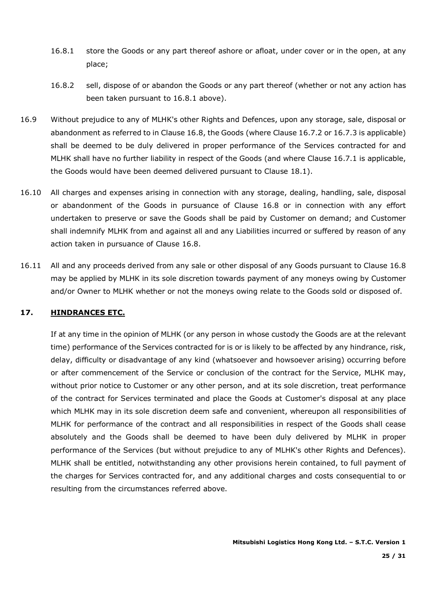- 16.8.1 store the Goods or any part thereof ashore or afloat, under cover or in the open, at any place;
- 16.8.2 sell, dispose of or abandon the Goods or any part thereof (whether or not any action has been taken pursuant to 16.8.1 above).
- 16.9 Without prejudice to any of MLHK's other Rights and Defences, upon any storage, sale, disposal or abandonment as referred to in Clause 16.8, the Goods (where Clause 16.7.2 or 16.7.3 is applicable) shall be deemed to be duly delivered in proper performance of the Services contracted for and MLHK shall have no further liability in respect of the Goods (and where Clause 16.7.1 is applicable, the Goods would have been deemed delivered pursuant to Clause 18.1).
- 16.10 All charges and expenses arising in connection with any storage, dealing, handling, sale, disposal or abandonment of the Goods in pursuance of Clause 16.8 or in connection with any effort undertaken to preserve or save the Goods shall be paid by Customer on demand; and Customer shall indemnify MLHK from and against all and any Liabilities incurred or suffered by reason of any action taken in pursuance of Clause 16.8.
- 16.11 All and any proceeds derived from any sale or other disposal of any Goods pursuant to Clause 16.8 may be applied by MLHK in its sole discretion towards payment of any moneys owing by Customer and/or Owner to MLHK whether or not the moneys owing relate to the Goods sold or disposed of.

### **17. HINDRANCES ETC.**

If at any time in the opinion of MLHK (or any person in whose custody the Goods are at the relevant time) performance of the Services contracted for is or is likely to be affected by any hindrance, risk, delay, difficulty or disadvantage of any kind (whatsoever and howsoever arising) occurring before or after commencement of the Service or conclusion of the contract for the Service, MLHK may, without prior notice to Customer or any other person, and at its sole discretion, treat performance of the contract for Services terminated and place the Goods at Customer's disposal at any place which MLHK may in its sole discretion deem safe and convenient, whereupon all responsibilities of MLHK for performance of the contract and all responsibilities in respect of the Goods shall cease absolutely and the Goods shall be deemed to have been duly delivered by MLHK in proper performance of the Services (but without prejudice to any of MLHK's other Rights and Defences). MLHK shall be entitled, notwithstanding any other provisions herein contained, to full payment of the charges for Services contracted for, and any additional charges and costs consequential to or resulting from the circumstances referred above.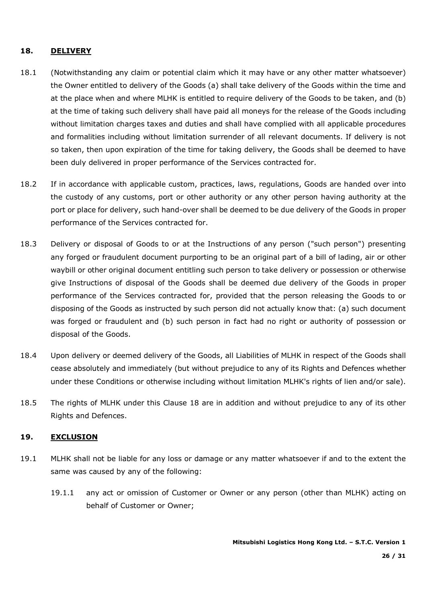### **18. DELIVERY**

- 18.1 (Notwithstanding any claim or potential claim which it may have or any other matter whatsoever) the Owner entitled to delivery of the Goods (a) shall take delivery of the Goods within the time and at the place when and where MLHK is entitled to require delivery of the Goods to be taken, and (b) at the time of taking such delivery shall have paid all moneys for the release of the Goods including without limitation charges taxes and duties and shall have complied with all applicable procedures and formalities including without limitation surrender of all relevant documents. If delivery is not so taken, then upon expiration of the time for taking delivery, the Goods shall be deemed to have been duly delivered in proper performance of the Services contracted for.
- 18.2 If in accordance with applicable custom, practices, laws, regulations, Goods are handed over into the custody of any customs, port or other authority or any other person having authority at the port or place for delivery, such hand-over shall be deemed to be due delivery of the Goods in proper performance of the Services contracted for.
- 18.3 Delivery or disposal of Goods to or at the Instructions of any person ("such person") presenting any forged or fraudulent document purporting to be an original part of a bill of lading, air or other waybill or other original document entitling such person to take delivery or possession or otherwise give Instructions of disposal of the Goods shall be deemed due delivery of the Goods in proper performance of the Services contracted for, provided that the person releasing the Goods to or disposing of the Goods as instructed by such person did not actually know that: (a) such document was forged or fraudulent and (b) such person in fact had no right or authority of possession or disposal of the Goods.
- 18.4 Upon delivery or deemed delivery of the Goods, all Liabilities of MLHK in respect of the Goods shall cease absolutely and immediately (but without prejudice to any of its Rights and Defences whether under these Conditions or otherwise including without limitation MLHK's rights of lien and/or sale).
- 18.5 The rights of MLHK under this Clause 18 are in addition and without prejudice to any of its other Rights and Defences.

### **19. EXCLUSION**

- 19.1 MLHK shall not be liable for any loss or damage or any matter whatsoever if and to the extent the same was caused by any of the following:
	- 19.1.1 any act or omission of Customer or Owner or any person (other than MLHK) acting on behalf of Customer or Owner;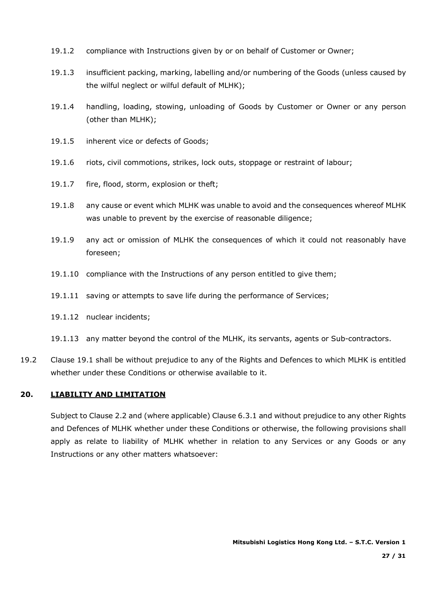- 19.1.2 compliance with Instructions given by or on behalf of Customer or Owner;
- 19.1.3 insufficient packing, marking, labelling and/or numbering of the Goods (unless caused by the wilful neglect or wilful default of MLHK);
- 19.1.4 handling, loading, stowing, unloading of Goods by Customer or Owner or any person (other than MLHK);
- 19.1.5 inherent vice or defects of Goods;
- 19.1.6 riots, civil commotions, strikes, lock outs, stoppage or restraint of labour;
- 19.1.7 fire, flood, storm, explosion or theft;
- 19.1.8 any cause or event which MLHK was unable to avoid and the consequences whereof MLHK was unable to prevent by the exercise of reasonable diligence;
- 19.1.9 any act or omission of MLHK the consequences of which it could not reasonably have foreseen;
- 19.1.10 compliance with the Instructions of any person entitled to give them;
- 19.1.11 saving or attempts to save life during the performance of Services;
- 19.1.12 nuclear incidents;
- 19.1.13 any matter beyond the control of the MLHK, its servants, agents or Sub-contractors.
- 19.2 Clause 19.1 shall be without prejudice to any of the Rights and Defences to which MLHK is entitled whether under these Conditions or otherwise available to it.

# **20. LIABILITY AND LIMITATION**

Subject to Clause 2.2 and (where applicable) Clause 6.3.1 and without prejudice to any other Rights and Defences of MLHK whether under these Conditions or otherwise, the following provisions shall apply as relate to liability of MLHK whether in relation to any Services or any Goods or any Instructions or any other matters whatsoever: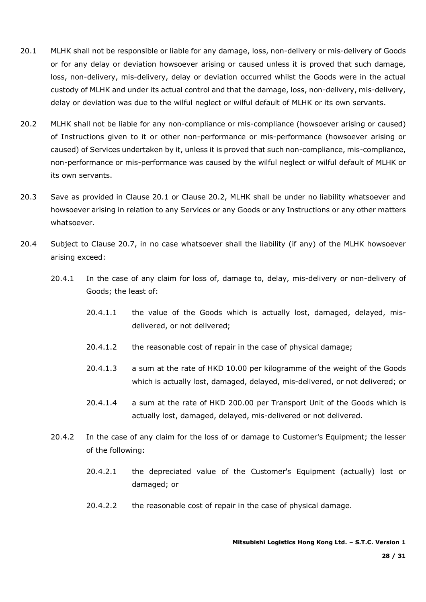- 20.1 MLHK shall not be responsible or liable for any damage, loss, non-delivery or mis-delivery of Goods or for any delay or deviation howsoever arising or caused unless it is proved that such damage, loss, non-delivery, mis-delivery, delay or deviation occurred whilst the Goods were in the actual custody of MLHK and under its actual control and that the damage, loss, non-delivery, mis-delivery, delay or deviation was due to the wilful neglect or wilful default of MLHK or its own servants.
- 20.2 MLHK shall not be liable for any non-compliance or mis-compliance (howsoever arising or caused) of Instructions given to it or other non-performance or mis-performance (howsoever arising or caused) of Services undertaken by it, unless it is proved that such non-compliance, mis-compliance, non-performance or mis-performance was caused by the wilful neglect or wilful default of MLHK or its own servants.
- 20.3 Save as provided in Clause 20.1 or Clause 20.2, MLHK shall be under no liability whatsoever and howsoever arising in relation to any Services or any Goods or any Instructions or any other matters whatsoever.
- 20.4 Subject to Clause 20.7, in no case whatsoever shall the liability (if any) of the MLHK howsoever arising exceed:
	- 20.4.1 In the case of any claim for loss of, damage to, delay, mis-delivery or non-delivery of Goods; the least of:
		- 20.4.1.1 the value of the Goods which is actually lost, damaged, delayed, misdelivered, or not delivered;
		- 20.4.1.2 the reasonable cost of repair in the case of physical damage;
		- 20.4.1.3 a sum at the rate of HKD 10.00 per kilogramme of the weight of the Goods which is actually lost, damaged, delayed, mis-delivered, or not delivered; or
		- 20.4.1.4 a sum at the rate of HKD 200.00 per Transport Unit of the Goods which is actually lost, damaged, delayed, mis-delivered or not delivered.
	- 20.4.2 In the case of any claim for the loss of or damage to Customer's Equipment; the lesser of the following:
		- 20.4.2.1 the depreciated value of the Customer's Equipment (actually) lost or damaged; or
		- 20.4.2.2 the reasonable cost of repair in the case of physical damage.

**Mitsubishi Logistics Hong Kong Ltd. – S.T.C. Version 1**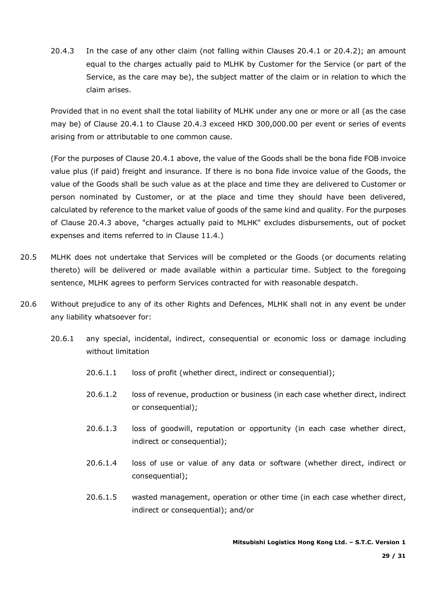20.4.3 In the case of any other claim (not falling within Clauses 20.4.1 or 20.4.2); an amount equal to the charges actually paid to MLHK by Customer for the Service (or part of the Service, as the care may be), the subject matter of the claim or in relation to which the claim arises.

Provided that in no event shall the total liability of MLHK under any one or more or all (as the case may be) of Clause 20.4.1 to Clause 20.4.3 exceed HKD 300,000.00 per event or series of events arising from or attributable to one common cause.

(For the purposes of Clause 20.4.1 above, the value of the Goods shall be the bona fide FOB invoice value plus (if paid) freight and insurance. If there is no bona fide invoice value of the Goods, the value of the Goods shall be such value as at the place and time they are delivered to Customer or person nominated by Customer, or at the place and time they should have been delivered, calculated by reference to the market value of goods of the same kind and quality. For the purposes of Clause 20.4.3 above, "charges actually paid to MLHK" excludes disbursements, out of pocket expenses and items referred to in Clause 11.4.)

- 20.5 MLHK does not undertake that Services will be completed or the Goods (or documents relating thereto) will be delivered or made available within a particular time. Subject to the foregoing sentence, MLHK agrees to perform Services contracted for with reasonable despatch.
- 20.6 Without prejudice to any of its other Rights and Defences, MLHK shall not in any event be under any liability whatsoever for:
	- 20.6.1 any special, incidental, indirect, consequential or economic loss or damage including without limitation
		- 20.6.1.1 loss of profit (whether direct, indirect or consequential);
		- 20.6.1.2 loss of revenue, production or business (in each case whether direct, indirect or consequential);
		- 20.6.1.3 loss of goodwill, reputation or opportunity (in each case whether direct, indirect or consequential);
		- 20.6.1.4 loss of use or value of any data or software (whether direct, indirect or consequential);
		- 20.6.1.5 wasted management, operation or other time (in each case whether direct, indirect or consequential); and/or

**Mitsubishi Logistics Hong Kong Ltd. – S.T.C. Version 1**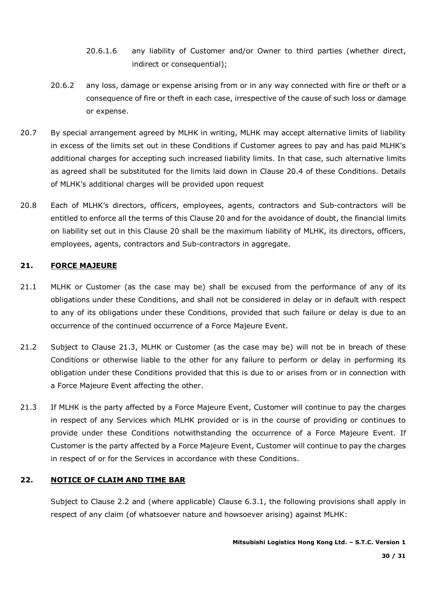- 20.6.1.6 any liability of Customer and/or Owner to third parties (whether direct, indirect or consequential):
- 20.6.2 any loss, damage or expense arising from or in any way connected with fire or theft or a consequence of fire or theft in each case, irrespective of the cause of such loss or damage or expense.
- 20.7 By special arrangement agreed by MLHK in writing, MLHK may accept alternative limits of liability in excess of the limits set out in these Conditions if Customer agrees to pay and has paid MLHK's additional charges for accepting such increased liability limits. In that case, such alternative limits as agreed shall be substituted for the limits laid down in Clause 20.4 of these Conditions. Details of MLHK's additional charges will be provided upon request
- 20.8 Each of MLHK's directors, officers, employees, agents, contractors and Sub-contractors will be entitled to enforce all the terms of this Clause 20 and for the avoidance of doubt, the financial limits on liability set out in this Clause 20 shall be the maximum liability of MLHK, its directors, officers, employees, agents, contractors and Sub-contractors in aggregate.

### **21. FORCE MAJEURE**

- 21.1 MLHK or Customer (as the case may be) shall be excused from the performance of any of its obligations under these Conditions, and shall not be considered in delay or in default with respect to any of its obligations under these Conditions, provided that such failure or delay is due to an occurrence of the continued occurrence of a Force Majeure Event.
- 21.2 Subject to Clause 21.3, MLHK or Customer (as the case may be) will not be in breach of these Conditions or otherwise liable to the other for any failure to perform or delay in performing its obligation under these Conditions provided that this is due to or arises from or in connection with a Force Majeure Event affecting the other.
- 21.3 If MLHK is the party affected by a Force Majeure Event, Customer will continue to pay the charges in respect of any Services which MLHK provided or is in the course of providing or continues to provide under these Conditions notwithstanding the occurrence of a Force Majeure Event. If Customer is the party affected by a Force Majeure Event, Customer will continue to pay the charges in respect of or for the Services in accordance with these Conditions.

### **22. NOTICE OF CLAIM AND TIME BAR**

Subject to Clause 2.2 and (where applicable) Clause 6.3.1, the following provisions shall apply in respect of any claim (of whatsoever nature and howsoever arising) against MLHK: